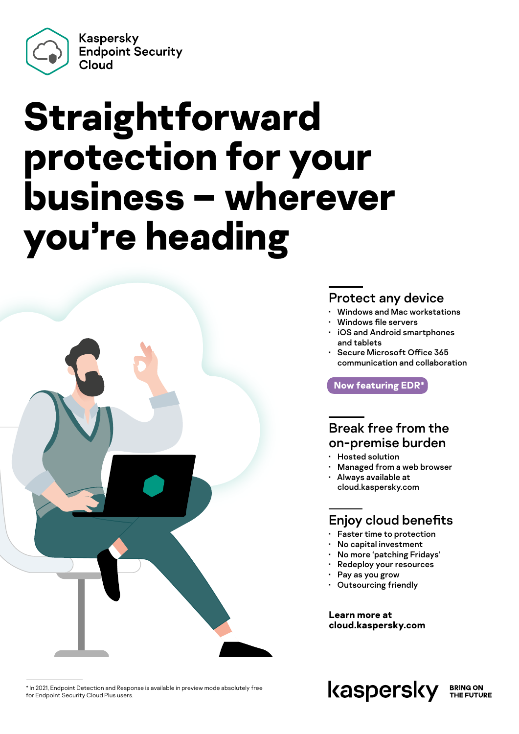Kaspersky **Endpoint Security** Cloud

# **Straightforward protection for your business – wherever you're heading**



#### Protect any device

- Windows and Mac workstations
- Windows file servers
- iOS and Android smartphones and tablets
- Secure Microsoft Office 365 communication and collaboration

**Now featuring EDR\***

#### Break free from the on-premise burden

- Hosted solution
- Managed from a web browser
- Always available at cloud.kaspersky.com

#### Enjoy cloud benefits

- Faster time to protection
- No capital investment
- No more 'patching Fridays'
- Redeploy your resources
- Pay as you grow
- Outsourcing friendly

**Learn more at [cloud.kaspersky.com](https://cloud.kaspersky.com/)**

\* In 2021, Endpoint Detection and Response is available in preview mode absolutely free for Endpoint Security Cloud Plus users.

kaspersky **BRING ON** THE FUTURE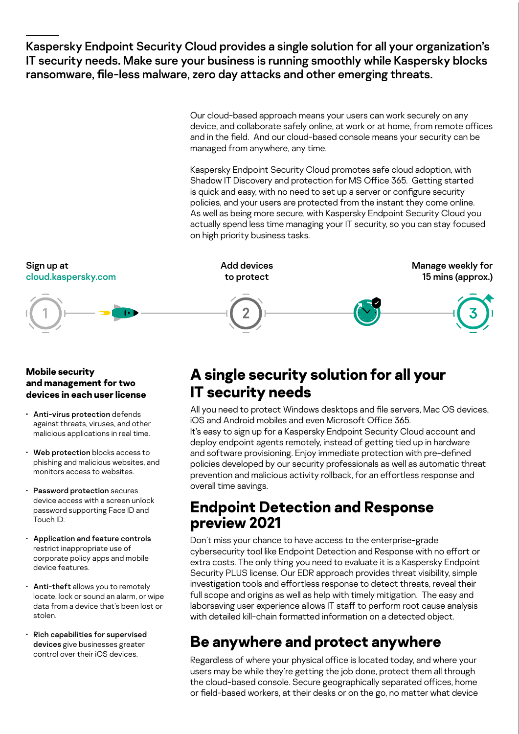Kaspersky Endpoint Security Cloud provides a single solution for all your organization's IT security needs. Make sure your business is running smoothly while Kaspersky blocks ransomware, file-less malware, zero day attacks and other emerging threats.

> Our cloud-based approach means your users can work securely on any device, and collaborate safely online, at work or at home, from remote offices and in the field. And our cloud-based console means your security can be managed from anywhere, any time.

Kaspersky Endpoint Security Cloud promotes safe cloud adoption, with Shadow IT Discovery and protection for MS Office 365. Getting started is quick and easy, with no need to set up a server or configure security policies, and your users are protected from the instant they come online. As well as being more secure, with Kaspersky Endpoint Security Cloud you actually spend less time managing your IT security, so you can stay focused on high priority business tasks.



#### **Mobile security and management for two devices in each user license**

- Anti-virus protection defends against threats, viruses, and other malicious applications in real time.
- Web protection blocks access to phishing and malicious websites, and monitors access to websites.
- Password protection secures device access with a screen unlock password supporting Face ID and Touch ID.
- Application and feature controls restrict inappropriate use of corporate policy apps and mobile device features.
- Anti-theft allows you to remotely locate, lock or sound an alarm, or wipe data from a device that's been lost or stolen.
- Rich capabilities for supervised devices give businesses greater control over their iOS devices.

### **A single security solution for all your IT security needs**

All you need to protect Windows desktops and file servers, Mac OS devices, iOS and Android mobiles and even Microsoft Office 365.

It's easy to sign up for a Kaspersky Endpoint Security Cloud account and deploy endpoint agents remotely, instead of getting tied up in hardware and software provisioning. Enjoy immediate protection with pre-defined policies developed by our security professionals as well as automatic threat prevention and malicious activity rollback, for an effortless response and overall time savings.

### **Endpoint Detection and Response preview 2021**

Don't miss your chance to have access to the enterprise-grade cybersecurity tool like Endpoint Detection and Response with no effort or extra costs. The only thing you need to evaluate it is a Kaspersky Endpoint Security PLUS license. Our EDR approach provides threat visibility, simple investigation tools and effortless response to detect threats, reveal their full scope and origins as well as help with timely mitigation. The easy and laborsaving user experience allows IT staff to perform root cause analysis with detailed kill-chain formatted information on a detected object.

### **Be anywhere and protect anywhere**

Regardless of where your physical office is located today, and where your users may be while they're getting the job done, protect them all through the cloud-based console. Secure geographically separated offices, home or field-based workers, at their desks or on the go, no matter what device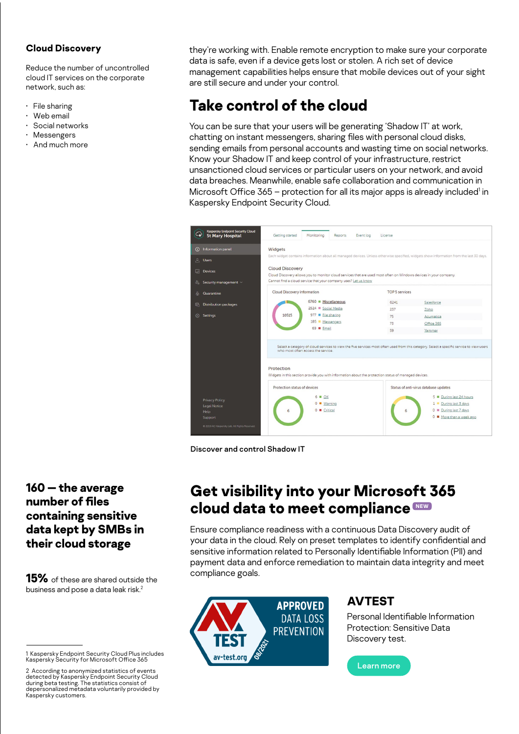#### **Cloud Discovery**

Reduce the number of uncontrolled cloud IT services on the corporate network, such as:

- File sharing
- Web email
- Social networks
- Messengers
- And much more

they're working with. Enable remote encryption to make sure your corporate data is safe, even if a device gets lost or stolen. A rich set of device management capabilities helps ensure that mobile devices out of your sight are still secure and under your control.

## **Take control of the cloud**

You can be sure that your users will be generating 'Shadow IT' at work, chatting on instant messengers, sharing files with personal cloud disks, sending emails from personal accounts and wasting time on social networks. Know your Shadow IT and keep control of your infrastructure, restrict unsanctioned cloud services or particular users on your network, and avoid data breaches. Meanwhile, enable safe collaboration and communication in Microsoft Office 365 - protection for all its major apps is already included<sup>1</sup> in Kaspersky Endpoint Security Cloud.

| <b>Kaspersky Endpoint Security Cloud</b><br><b>St Mary Hospital</b>                                                     | Getting started<br>Monitoring<br>Reports<br>Event log                                                                                                                                                                                                          | License                                                                                                                                                                                                                               |
|-------------------------------------------------------------------------------------------------------------------------|----------------------------------------------------------------------------------------------------------------------------------------------------------------------------------------------------------------------------------------------------------------|---------------------------------------------------------------------------------------------------------------------------------------------------------------------------------------------------------------------------------------|
| (i) Information panel<br><b>A</b> Users<br><b>Devices</b><br>& Security management v                                    | Widgets<br><b>Cloud Discovery</b><br>Cloud Discovery allows you to monitor cloud services that are used most often on Windows devices in your company.<br>Cannot find a cloud service that your company uses? Let us know                                      | Each widget contains information about all managed devices. Unless otherwise specified, widgets show information from the last 30 days.                                                                                               |
| Quarantine<br>යි                                                                                                        | Cloud Discovery information                                                                                                                                                                                                                                    | <b>TOP 5 services</b>                                                                                                                                                                                                                 |
| <b>Distribution packages</b><br>島<br>Settings<br>$53 - 35$                                                              | 6760 Miscellaneous<br>2524 Social Media<br>10515<br>977 Pile sharing<br>185 Messengers<br>69 Email<br>who most often access the service.<br>Protection<br>Widgets in this section provide you with information about the protection status of managed devices. | 6241<br>Salesforce<br>237<br>Zoho<br>75<br>Acumatica<br>73<br>Office 365<br>59<br>Yammer<br>Select a category of cloud services to view the five services most often used from this category. Select a specific service to view users |
| <b>Privacy Policy</b><br><b>Legal Notice</b><br>Help<br><b>Support</b><br>C 2019 AO Kaspersky Lab. All Rights Reserved. | Protection status of devices<br>$6 \equiv OK$<br>$\Omega$<br>Warning<br>$0$ $\blacksquare$ Critical<br>6                                                                                                                                                       | Status of anti-virus database updates<br>5 During last 24 hours<br>During last 3 days<br>1 .<br>0 During last 7 days<br>6<br>0 ■ More than a week ago                                                                                 |

Discover and control Shadow IT

### **Get visibility into your Microsoft 365 cloud data to meet compliance NEW**

Ensure compliance readiness with a continuous Data Discovery audit of your data in the cloud. Rely on preset templates to identify confidential and sensitive information related to Personally Identifiable Information (PII) and payment data and enforce remediation to maintain data integrity and meet compliance goals.



#### **AVTEST**

Personal Identifiable Information Protection: Sensitive Data Discovery test.



#### **160 — the average number of files containing sensitive data kept by SMBs in their cloud storage**

**15%** of these are shared outside the business and pose a data leak risk.<sup>2</sup>

<sup>1</sup> Kaspersky Endpoint Security Cloud Plus includes Kaspersky Security for Microsoft Office 365

<sup>2</sup> According to anonymized statistics of events detected by Kaspersky Endpoint Security Cloud during beta testing. The statistics consist of depersonalized metadata voluntarily provided by Kaspersky customers.